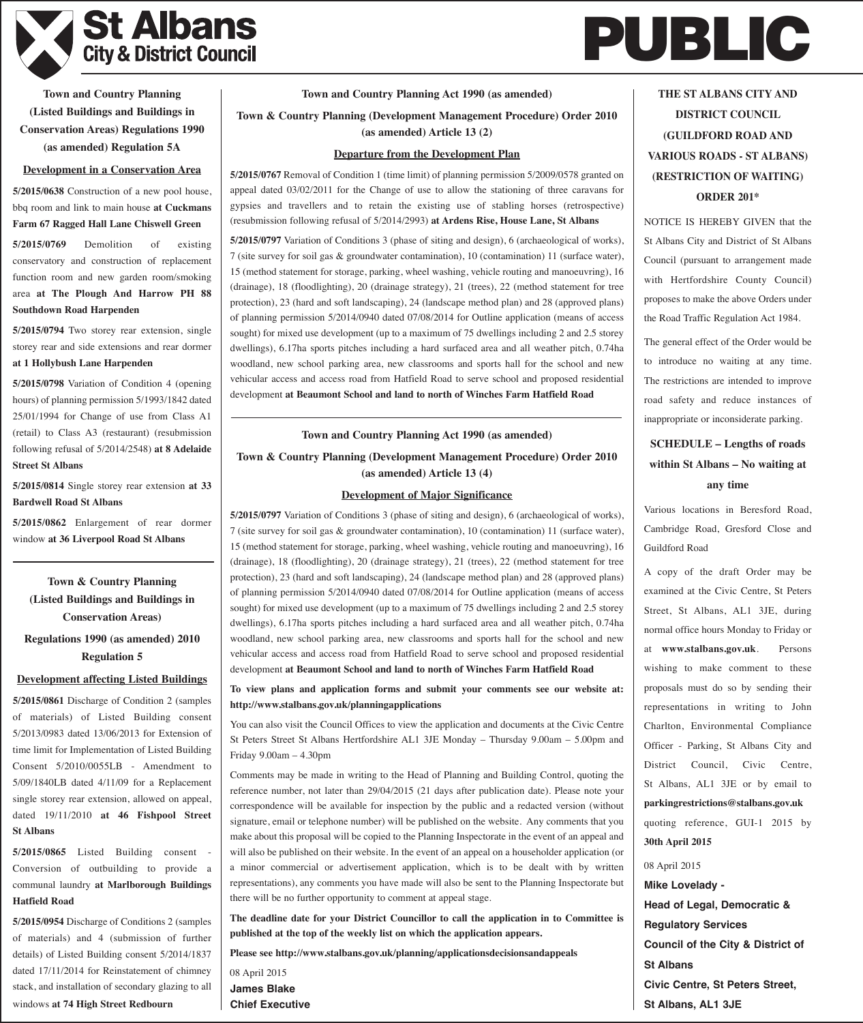

# **PUBLIC**

**Town and Country Planning (Listed Buildings and Buildings in Conservation Areas) Regulations 1990 (as amended) Regulation 5A**

#### **Development in a Conservation Area**

**5/2015/0638** Construction of a new pool house, bbq room and link to main house **at Cuckmans Farm 67 Ragged Hall Lane Chiswell Green**

**5/2015/0769** Demolition of existing conservatory and construction of replacement function room and new garden room/smoking area **at The Plough And Harrow PH 88 Southdown Road Harpenden**

**5/2015/0794** Two storey rear extension, single storey rear and side extensions and rear dormer **at 1 Hollybush Lane Harpenden**

**5/2015/0798** Variation of Condition 4 (opening hours) of planning permission 5/1993/1842 dated 25/01/1994 for Change of use from Class A1 (retail) to Class A3 (restaurant) (resubmission following refusal of 5/2014/2548) **at 8 Adelaide Street St Albans**

**5/2015/0814** Single storey rear extension **at 33 Bardwell Road St Albans**

**5/2015/0862** Enlargement of rear dormer window **at 36 Liverpool Road St Albans**

**Town & Country Planning (Listed Buildings and Buildings in Conservation Areas)**

**Regulations 1990 (as amended) 2010 Regulation 5**

# **Development affecting Listed Buildings**

**5/2015/0861** Discharge of Condition 2 (samples of materials) of Listed Building consent 5/2013/0983 dated 13/06/2013 for Extension of time limit for Implementation of Listed Building Consent 5/2010/0055LB - Amendment to 5/09/1840LB dated 4/11/09 for a Replacement single storey rear extension, allowed on appeal, dated 19/11/2010 **at 46 Fishpool Street St Albans**

5/2015/0865 Listed Building consent Conversion of outbuilding to provide a communal laundry **at Marlborough Buildings Hatfield Road**

**5/2015/0954** Discharge of Conditions 2 (samples of materials) and 4 (submission of further details) of Listed Building consent 5/2014/1837 dated 17/11/2014 for Reinstatement of chimney stack, and installation of secondary glazing to all windows **at 74 High Street Redbourn**

#### **Town and Country Planning Act 1990 (as amended)**

**Town & Country Planning (Development Management Procedure) Order 2010 (as amended) Article 13 (2)**

#### **Departure from the Development Plan**

**5/2015/0767** Removal of Condition 1 (time limit) of planning permission 5/2009/0578 granted on appeal dated 03/02/2011 for the Change of use to allow the stationing of three caravans for gypsies and travellers and to retain the existing use of stabling horses (retrospective) (resubmission following refusal of 5/2014/2993) **at Ardens Rise, House Lane, St Albans**

**5/2015/0797** Variation of Conditions 3 (phase of siting and design), 6 (archaeological of works), 7 (site survey for soil gas & groundwater contamination), 10 (contamination) 11 (surface water), 15 (method statement for storage, parking, wheel washing, vehicle routing and manoeuvring), 16 (drainage), 18 (floodlighting), 20 (drainage strategy), 21 (trees), 22 (method statement for tree protection), 23 (hard and soft landscaping), 24 (landscape method plan) and 28 (approved plans) of planning permission 5/2014/0940 dated 07/08/2014 for Outline application (means of access sought) for mixed use development (up to a maximum of 75 dwellings including 2 and 2.5 storey dwellings), 6.17ha sports pitches including a hard surfaced area and all weather pitch, 0.74ha woodland, new school parking area, new classrooms and sports hall for the school and new vehicular access and access road from Hatfield Road to serve school and proposed residential development **at Beaumont School and land to north of Winches Farm Hatfield Road**

#### **Town and Country Planning Act 1990 (as amended)**

**Town & Country Planning (Development Management Procedure) Order 2010 (as amended) Article 13 (4)**

#### **Development of Major Significance**

**5/2015/0797** Variation of Conditions 3 (phase of siting and design), 6 (archaeological of works), 7 (site survey for soil gas & groundwater contamination), 10 (contamination) 11 (surface water), 15 (method statement for storage, parking, wheel washing, vehicle routing and manoeuvring), 16 (drainage), 18 (floodlighting), 20 (drainage strategy), 21 (trees), 22 (method statement for tree protection), 23 (hard and soft landscaping), 24 (landscape method plan) and 28 (approved plans) of planning permission 5/2014/0940 dated 07/08/2014 for Outline application (means of access sought) for mixed use development (up to a maximum of 75 dwellings including 2 and 2.5 storey dwellings), 6.17ha sports pitches including a hard surfaced area and all weather pitch, 0.74ha woodland, new school parking area, new classrooms and sports hall for the school and new vehicular access and access road from Hatfield Road to serve school and proposed residential development **at Beaumont School and land to north of Winches Farm Hatfield Road**

**To view plans and application forms and submit your comments see our website at: http://www.stalbans.gov.uk/planningapplications**

You can also visit the Council Offices to view the application and documents at the Civic Centre St Peters Street St Albans Hertfordshire AL1 3JE Monday – Thursday 9.00am – 5.00pm and Friday 9.00am – 4.30pm

Comments may be made in writing to the Head of Planning and Building Control, quoting the reference number, not later than 29/04/2015 (21 days after publication date). Please note your correspondence will be available for inspection by the public and a redacted version (without signature, email or telephone number) will be published on the website. Any comments that you make about this proposal will be copied to the Planning Inspectorate in the event of an appeal and will also be published on their website. In the event of an appeal on a householder application (or a minor commercial or advertisement application, which is to be dealt with by written representations), any comments you have made will also be sent to the Planning Inspectorate but there will be no further opportunity to comment at appeal stage.

**The deadline date for your District Councillor to call the application in to Committee is published at the top of the weekly list on which the application appears.**

**Please see http://www.stalbans.gov.uk/planning/applicationsdecisionsandappeals**

08 April 2015 **James Blake Chief Executive**

**THE ST ALBANS CITY AND DISTRICT COUNCIL (GUILDFORD ROAD AND VARIOUS ROADS - ST ALBANS) (RESTRICTION OF WAITING) ORDER 201\***

NOTICE IS HEREBY GIVEN that the St Albans City and District of St Albans Council (pursuant to arrangement made with Hertfordshire County Council) proposes to make the above Orders under the Road Traffic Regulation Act 1984.

The general effect of the Order would be to introduce no waiting at any time. The restrictions are intended to improve road safety and reduce instances of inappropriate or inconsiderate parking.

# **SCHEDULE – Lengths of roads within St Albans – No waiting at any time**

Various locations in Beresford Road, Cambridge Road, Gresford Close and Guildford Road

A copy of the draft Order may be examined at the Civic Centre, St Peters Street, St Albans, AL1 3JE, during normal office hours Monday to Friday or at **www.stalbans.gov.uk**. Persons wishing to make comment to these proposals must do so by sending their representations in writing to John Charlton, Environmental Compliance Officer - Parking, St Albans City and District Council, Civic Centre, St Albans, AL1 3JE or by email to **parkingrestrictions@stalbans.gov.uk** quoting reference, GUI-1 2015 by

08 April 2015 **Mike Lovelady - Head of Legal, Democratic & Regulatory Services Council of the City & District of St Albans Civic Centre, St Peters Street, St Albans, AL1 3JE**

**30th April 2015**